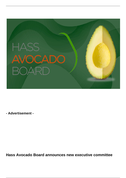

**- Advertisement -**

**Hass Avocado Board announces new executive committee**